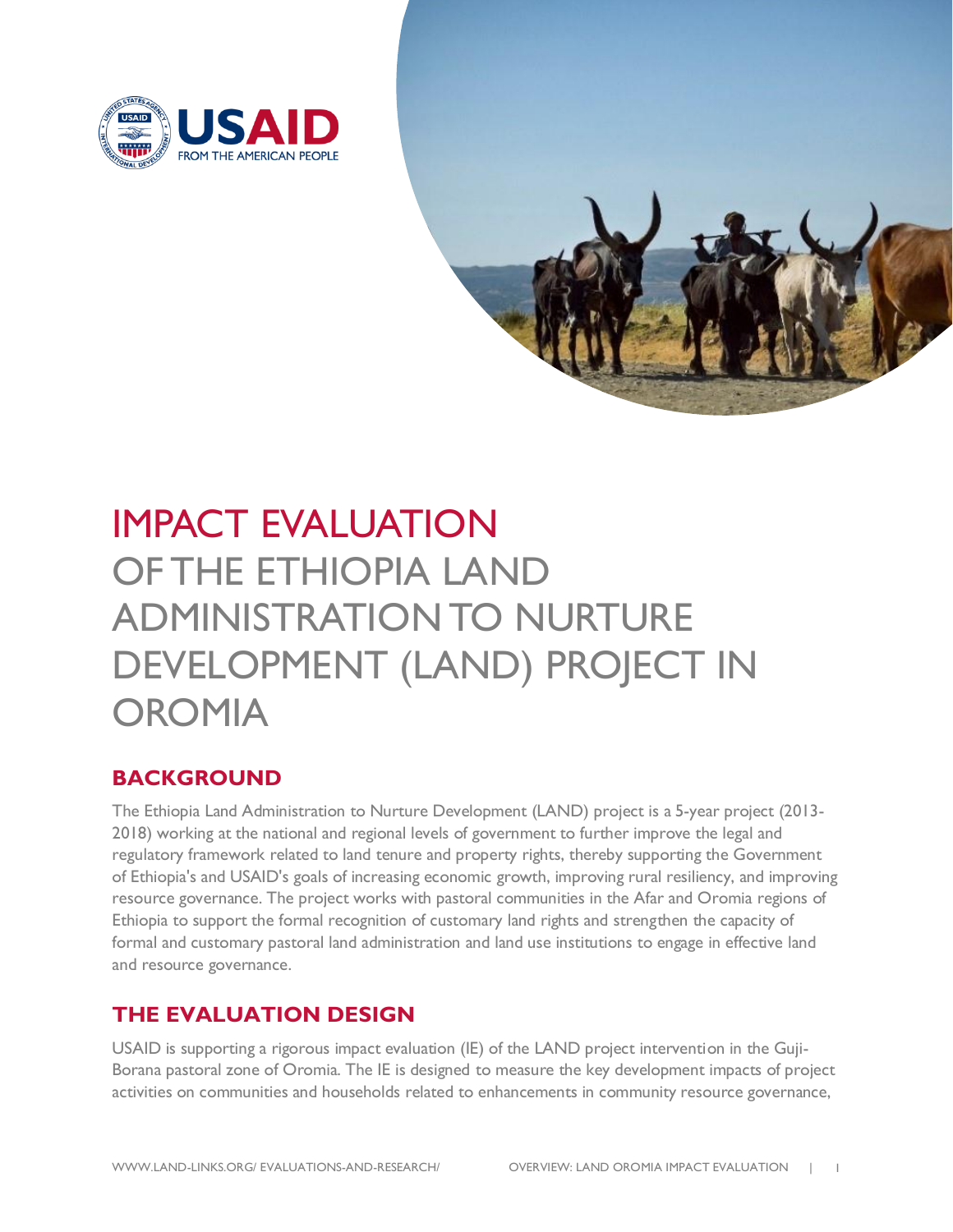



# IMPACT EVALUATION OF THE ETHIOPIA LAND ADMINISTRATION TO NURTURE DEVELOPMENT (LAND) PROJECT IN **OROMIA**

## **BACKGROUND**

The Ethiopia Land Administration to Nurture Development (LAND) project is a 5-year project (2013- 2018) working at the national and regional levels of government to further improve the legal and regulatory framework related to land tenure and property rights, thereby supporting the Government of Ethiopia's and USAID's goals of increasing economic growth, improving rural resiliency, and improving resource governance. The project works with pastoral communities in the Afar and Oromia regions of Ethiopia to support the formal recognition of customary land rights and strengthen the capacity of formal and customary pastoral land administration and land use institutions to engage in effective land and resource governance.

### **THE EVALUATION DESIGN**

USAID is supporting a rigorous impact evaluation (IE) of the LAND project intervention in the Guji-Borana pastoral zone of Oromia. The IE is designed to measure the key development impacts of project activities on communities and households related to enhancements in community resource governance,